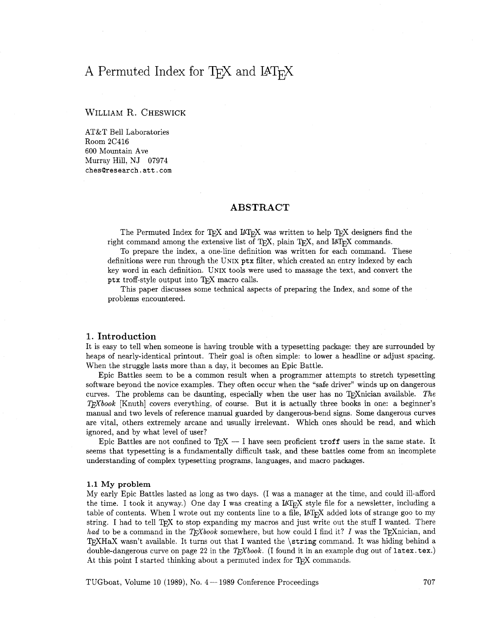# A Permuted Index for T<sub>E</sub>X and IAT<sub>F</sub>X

# WILLIAM R. CHESWICK

AT&T Bell Laboratories Room 2C416 600 Mountain Ave Murray Hill, NJ 07974 **chesQresearch.att.com** 

# **ABSTRACT**

The Permuted Index for T<sub>F</sub>X and I<sup> $\Delta$ </sup>T<sub>F</sub>X was written to help T<sub>F</sub>X designers find the right command among the extensive list of TEX, plain TEX, and IATEX commands.

To prepare the index, a one-line definition was written for each command. These definitions were run through the UNIX **ptx** filter, which created an entry indexed by each key word in each definition. UNIX tools were used to massage the text, and convert the ptx troff-style output into TEX macro calls.

This paper discusses some technical aspects of preparing the Index, and some of the problems encountered.

## **1. Introduction**

It is easy to tell when someone is having trouble with a typesetting package: they are surrounded by heaps of nearly-identical printout. Their goal is often simple: to lower a headline or adjust spacing. When the struggle lasts more than a day, it becomes an Epic Battle.

Epic Battles seem to be a common result when a programmer attempts to stretch typesetting software beyond the novice examples. They often occur when the "safe driver" winds up on dangerous curves. The problems can be daunting, especially when the user has no T<sub>F</sub>Xnician available. The TEXbook [Knuth] covers everything, of course. But it is actually three books in one: a beginner's manual and two levels of reference manual guarded by dangerous-bend signs. Some dangerous curves are vital, others extremely arcane and usually irrelevant. Which ones should be read, and which ignored, and by what level of user?

Epic Battles are not confined to  $T_{\rm F}X - I$  have seen proficient  $\text{troff}$  users in the same state. It seems that typesetting is a fundamentally difficult task, and these battles come from an incomplete understanding of complex typesetting programs, languages, and macro packages.

## 1.1 My **problem**

My early Epic Battles lasted as long as two days. (I was a manager at the time, and could ill-afford the time. I took it anyway.) One day I was creating a  $I\llbracket A T_{F}X$  style file for a newsletter, including a table of contents. When I wrote out my contents line to a file, IAT<sub>E</sub>X added lots of strange goo to my string. I had to tell TEX to stop expanding my macros and just write out the stuff I wanted. There had to be a command in the *T<sub>E</sub>Xbook* somewhere, but how could I find it? I was the T<sub>E</sub>Xnician, and 'QXHaX wasn't available. It turns out that I wanted the **\string** command. It was hiding behind a double-dangerous curve on page 22 in the  $T_F X book.$  (I found it in an example dug out of latex. tex.) At this point I started thinking about a permuted index for  $T_{F}X$  commands.

TUGboat, Volume 10 (1989), No.  $4-1989$  Conference Proceedings  $707$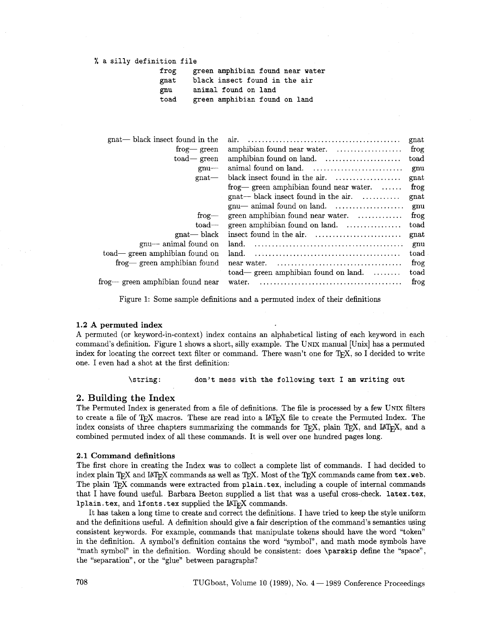## % a silly definition file

frog green amphibian found near water gnat black insect found in the air<br>gnu animal found on land gnu animal found on land<br>toad ereen amphibian foune green amphibian found on land

| gnat— black insect found in the  | air.                                                           | gnat   |
|----------------------------------|----------------------------------------------------------------|--------|
| frog-green                       | amphibian found near water.                                    | $f{r}$ |
| $\text{road}$ green              |                                                                | toad   |
| $gnu$ —                          |                                                                | gnu    |
| gnat                             | black insect found in the air. $\dots \dots \dots \dots \dots$ | gnat   |
|                                  | frog— green amphibian found near water. $\dots$                | frog   |
|                                  | $g$ nat— black insect found in the air.                        | gnat   |
|                                  |                                                                | gnu    |
| $f_{\text{rog}}$                 | green amphibian found near water. $\dots\dots\dots\dots$       | frog   |
| $_{\text{load}-}$                | green amphibian found on land.                                 | toad   |
| $gnat$ black                     | insect found in the air.                                       | gnat   |
| gnu— animal found on             | land.                                                          | gnu    |
| toad— green amphibian found on   | land.                                                          | toad   |
| frog— green amphibian found      | near water.                                                    | frog   |
|                                  | $\text{road}$ green amphibian found on land. $\dots\dots\dots$ | toad   |
| frog— green amphibian found near | water.                                                         | frog   |
|                                  |                                                                |        |

Figure 1: Some sample definitions and a permuted index of their definitions

#### **1.2 A** permuted index

A permuted (or keyword-in-context) index contains an alphabetical listing of each keyword in each command's definition. Figure 1 shows a short, silly example. The UNIX manual [Unix] has a permuted index for locating the correct text filter or command. There wasn't one for TEX, so I decided to write one. I even had a shot at the first definition:

\string: don't mess with the following text I am writing out

# 2. Building the Index

The Permuted Index is generated from a file of definitions. The file is processed by a few UNIX filters I he Permuted Index is generated from a file of definitions. The file is processed by a few UNIX filters to create a file of T<sub>E</sub>X macros. These are read into a L<sup>A</sup>T<sub>E</sub>X file to create the Permuted Index. The to create a file of T<sub>E</sub>X macros. These are read into a  $L^2$ <sub>E</sub>X file to create the Permuted Index. The index consists of three chapters summarizing the commands for T<sub>E</sub>X, plain T<sub>E</sub>X, and  $L^2$ <sub>E</sub>X, and a combined permuted index of all these commands. It is well over one hundred pages long.

#### **2.1** Command definitions

The first chore in creating the Index was to collect a complete list of commands. I had decided to index plain T<sub>E</sub>X and IAT<sub>E</sub>X commands as well as T<sub>E</sub>X. Most of the T<sub>E</sub>X commands came from tex. web. The plain TEX commands were extracted from plain .tex, including a couple of internal commands that I have found useful. Barbara Beeton supplied a list that was a useful cross-check. latex.tex, 1 plain. tex, and 1 fonts. tex supplied the  $IAT_FX$  commands.

It has taken a long time to create and correct the definitions. I have tried to keep the style uniform and the definitions useful. **A** definition should give a fair description of the command's semantics using consistent keywords. For example, commands that manipulate tokens should have the word "token" in the definition. **A** symbol's definition contains the word "symbol", and math mode symbols have "math symbol" in the definition. Wording should be consistent: does \parskip define the "space", the "separation", or the "glue" between paragraphs?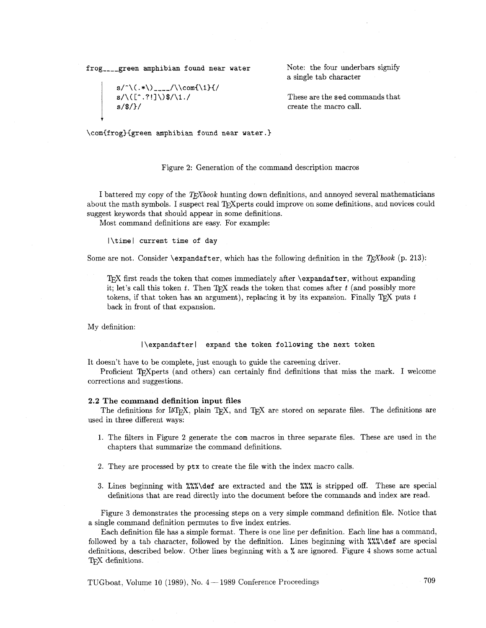frog<sub>----</sub>green amphibian found near water Note: the four underbars signify

$$
s/\^{\mathbb{N}\_\mathbb{N}\_\mathbb{N}}\to s/\^{\Gamma^2}\_3/\^{\Gamma^2}\_3/\^{\mathbb{N}}\_1
$$

a single tab character

**s/\([-** .?!]\)\$/\I./ These are the sed commands that create the macro call.

\com{f rog){green amphibian found near water. **1** 

#### Figure 2: Generation of the command description macros

I battered my copy of the *T<sub>F</sub>Xbook* hunting down definitions, and annoyed several mathematicians about the math symbols. I suspect real T<sub>P</sub>Xperts could improve on some definitions, and novices could suggest keywords that should appear in some definitions.

Most command definitions are easy. For example:

|\time| current time of day

Some are not. Consider  $\exp(1)$   $\exp(1)$   $\exp(1)$   $\exp(1)$   $\exp(1)$   $\exp(1)$   $\exp(1)$   $\exp(1)$   $\exp(1)$   $\exp(1)$   $\exp(1)$   $\exp(1)$   $\exp(1)$   $\exp(1)$   $\exp(1)$   $\exp(1)$   $\exp(1)$   $\exp(1)$   $\exp(1)$   $\exp(1)$   $\exp(1)$   $\exp(1)$   $\exp(1)$   $\exp(1)$   $\exp(1)$ 

T)TJ first reads the token that comes immediately after \expandafter, without expanding it; let's call this token  $t$ . Then  $T_{\text{F}}X$  reads the token that comes after  $t$  (and possibly more tokens, if that token has an argument), replacing it by its expansion. Finally  $T\cancel{p}X$  puts  $t$ back in fiont of that expansion.

My definition:

**1** 

# |\expandafter| expand the token following the next token

It doesn't have to be complete, just enough to guide the careening driver.

Proficient T<sub>F</sub>Xperts (and others) can certainly find definitions that miss the mark. I welcome corrections and suggestions.

#### 2.2 The command definition input files

The definitions for  $I\llap{/}T_FX$ , plain T<sub>E</sub>X, and T<sub>E</sub>X are stored on separate files. The definitions are used in three different ways:

- 1. The filters in Figure **2** generate the com macros in three separate files. These are used in the chapters that summarize the command definitions.
- 2. They are processed by ptx to create the file with the index macro calls.
- 3. Lines beginning with %%%\def are extracted and the %%% is stripped off. These are special definitions that are read directly into the document before the commands and index are read.

Figure **3** demonstrates the processing steps on a very simple command definition file. Notice that a single command definition permutes to five index entries.

Each definition fle has a simple format. There is one line per definition. Each line has a command, followed by a tab character, followed by the definition. Lines beginning with %%%\def are special definitions, described below. Other lines beginning with a  $\%$  are ignored. Figure 4 shows some actual T<sub>E</sub>X definitions.

TUGboat, Volume 10 (1989), No.  $4-1989$  Conference Proceedings  $709$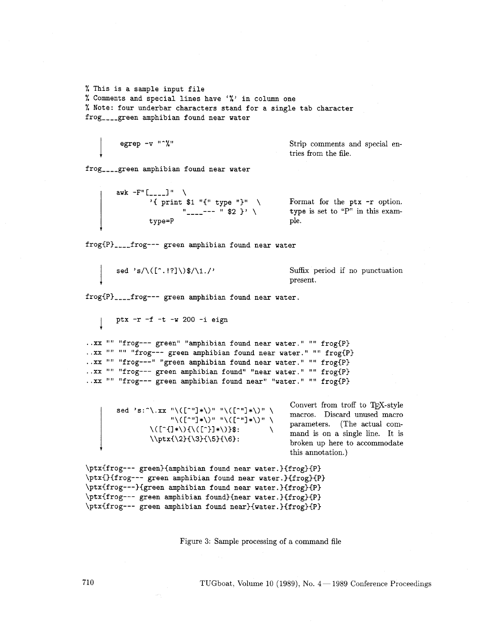% This is a sample input file % Comments and special lines have '%' in column one % Note: four underbar characters stand for a single tab character frog----green amphibian found near water

$$
egrep - v^{-n} \text{``\textdegree\text{``\textdegree\text{``}}}
$$

**t** 

Strip comments and special entries from the file.

frog----green amphibian found near water

| awk | -F" $\begin{bmatrix} - & -1 \\ \text{print} & 1 \end{bmatrix}$ | \n $\begin{array}{c}\n \text{print} & 1 \\ \text{upper} \end{array}$ \n | \n $\begin{array}{c}\n \text{Error} \\  \text{upper} \\  \text{upper} \\  \text{upper} \\  \text{lower} \\  \text{lower} \\  \text{lower} \\  \text{lower} \\  \text{lower} \\  \text{lower} \\  \text{lower} \\  \text{lower} \\  \text{lower} \\  \text{lower} \\  \text{lower} \\  \text{lower} \\  \text{lower} \\  \text{lower} \\  \text{lower} \\  \text{lower} \\  \text{lower} \\  \text{lower} \\  \text{lower} \\  \text{lower} \\  \text{lower} \\  \text{lower} \\  \text{lower} \\  \text{lower} \\  \text{lower} \\  \text{lower} \\  \text{lower} \\  \text{lower} \\  \text{lower} \\  \text{lower} \\  \text{lower} \\  \text{lower} \\  \text{lower} \\  \text{lower} \\  \text{lower} \\  \text{lower} \\  \text{lower} \\  \text{lower} \\  \text{lower} \\  \text{lower} \\  \text{lower} \\  \text{lower} \\  \text{lower} \\  \text{lower} \\  \text{lower} \\  \text{lower} \\  \text{lower} \\  \text{lower} \\  \text{lower} \\  \text{lower} \\  \text{lower} \\  \text{lower} \\  \text{lower} \\  \text{lower} \\  \text{lower} \\  \text{lower} \\  \text{lower} \\  \text{lower} \\  \text{lower} \\  \text{lower} \\  \text{lower} \\  \text{lower} \\  \text{lower} \\  \text{lower} \\  \text{lower} \\  \text{lower} \\  \text{lower} \\  \text{lower} \\  \text{lower} \\  \text{lower} \\  \text{lower} \\  \text{lower} \\  \text{lower} \\  \text{lower} \\  \text{lower} \\  \text{lower} \\  \text{lower} \\  \text{lower} \\  \text{lower} \\  \text{lower} \\  \text{lower} \\  \text{lower} \\  \text{lower} \\  \text{lower} \\  \text{lower} \\  \text{lower} \\  \text{lower} \\  \text{lower} \\  \text{lower} \\  \text{lower} \\  \text{lower} \\  \text{lower} \\  \text{lower} \\  \text{lower} \\  \text{lower} \\  \text{lower} \\  \text{lower} \\  \text{lower} \\  \text{lower} \\  \text{lower} \\  \text{lower} \\  \text{lower} \\  \text{lower} \\  \text{lower} \\  \text{lower} \\$ |
|-----|----------------------------------------------------------------|-------------------------------------------------------------------------|-----------------------------------------------------------------------------------------------------------------------------------------------------------------------------------------------------------------------------------------------------------------------------------------------------------------------------------------------------------------------------------------------------------------------------------------------------------------------------------------------------------------------------------------------------------------------------------------------------------------------------------------------------------------------------------------------------------------------------------------------------------------------------------------------------------------------------------------------------------------------------------------------------------------------------------------------------------------------------------------------------------------------------------------------------------------------------------------------------------------------------------------------------------------------------------------------------------------------------------------------------------------------------------------------------------------------------------------------------------------------------------------------------------------------------------------------------------------------------------------------------------------------------------------------------------------------------------------------------------------------------------------------------------------------------------------------------------------------------------------------------------------------------------------------------------------------------------------------------------------------------------------------------------------------------------------------------|
|-----|----------------------------------------------------------------|-------------------------------------------------------------------------|-----------------------------------------------------------------------------------------------------------------------------------------------------------------------------------------------------------------------------------------------------------------------------------------------------------------------------------------------------------------------------------------------------------------------------------------------------------------------------------------------------------------------------------------------------------------------------------------------------------------------------------------------------------------------------------------------------------------------------------------------------------------------------------------------------------------------------------------------------------------------------------------------------------------------------------------------------------------------------------------------------------------------------------------------------------------------------------------------------------------------------------------------------------------------------------------------------------------------------------------------------------------------------------------------------------------------------------------------------------------------------------------------------------------------------------------------------------------------------------------------------------------------------------------------------------------------------------------------------------------------------------------------------------------------------------------------------------------------------------------------------------------------------------------------------------------------------------------------------------------------------------------------------------------------------------------------------|

Format for the ptx -r option.  $\tt type is set to "P" in this example.$ 

frog{P)----frog--- green amphibian found near water

$$
\texttt{sed 's}/\backslash(\texttt{['.!?]}\backslash)\texttt{\$}/\backslash1./'
$$

Suffix period if no punctuation present.

frog{P}<sub>----</sub>frog--- green amphibian found near water.

1 ptx **-r** -f -t -w 200 -i eign

```
..xx "" "frog--- green" "amphibian found near water." "" frog{P}
..xx "" "" "frog--- green amphibian found near water." "" frog{P}
..xx "" "frog---" "green amphibian found near water." "" frog{P}
..xx "" "frog--- green amphibian found" "near water." "" frog{P}
..xx "" "frog--- green amphibian found near" "water." "" frog{P}
```

|                                                                                                                                  | sed 's: ^\.xx "\([^"]*\)" "\([^"]*\)" \ |  |
|----------------------------------------------------------------------------------------------------------------------------------|-----------------------------------------|--|
|                                                                                                                                  | "\([^"]*\)" "\([^"]*\)" \               |  |
| $\setminus (\lceil \cdot \{ \cdot \} \cdot \rangle, \setminus \setminus (\lceil \cdot \cdot \rceil + \setminus \setminus \} \$ : |                                         |  |
|                                                                                                                                  | $\{\2\}({\3}({\5})({\6}):$              |  |

Convert from troff to TFX-style macros. Discard unused macro<br>parameters. (The actual com- $\,$  mand is on a single line. It is broken up here to accommodate **<sup>t</sup>**this annotation.)

```
\ptx{frog--- green}{amphibian found near water.}{frog}{P}
\ptx{}{frog--- green amphibian found near water.}{frog}{P}
\ptx{frog---}{green amphibian found near water.}{frog}{P}
\ptx{frog--- green amphibian found}{near water.}{frog}{P}
\ptx{frog--- green amphibian found near}{water.}{frog}{P}
```
Figure **3:** Sample processing of a command file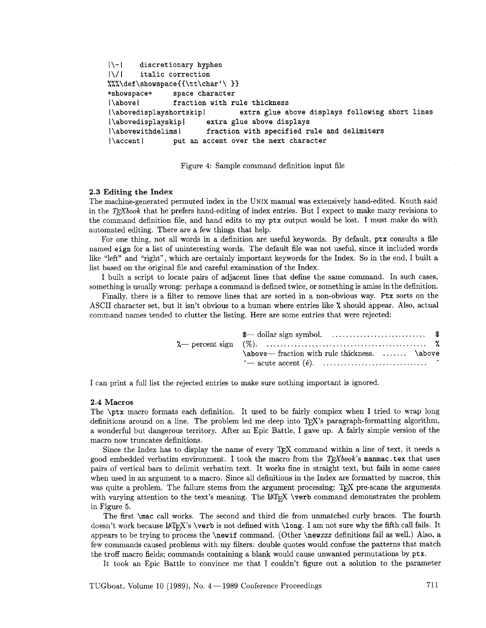```
!\-I discretionary hyphen 
1\/1 italic correction 
%%%\def\showspace{{\tt\char'\ }}
+showspace+ space character 
I\above 1 fraction with rule thickness 
I\abovedisplayshortskip I extra glue above displays following short lines 
I\abovedisplayskipI extra glue above displays 
I\abovewithdelims) fraction with specified rule and delimiters 
I\accent 1 put an accent over the next character
```
Figure 4: Sample command definition input file

#### **2.3 Editing the Index**

The machine-generated permuted index in the UNIX manual was extensively hand-edited. Knuth said in the T<sub>E</sub>Xbook that he prefers hand-editing of index entries. But I expect to make many revisions to the command definition file, and hand edits to my **ptx** output would be lost. I must make do with automated editing. There are a few things that help.

For one thing, not all words in a definition are useful keywords. By default, **ptx** consults a file named **eign** for a list of uninteresting words. The default file was not useful, since it included words like "left" and "right", which are certainly important keywords for the Index. So in the end, I built a list based on the original file and careful examination of the Index.

I built a script to locate pairs of adjacent lines that define the same command. In such cases, something is usually wrong: perhaps a command is defined twice, or something is amiss in the definition.

Finally, there is a filter to remove lines that are sorted in a non-obvious way. **Ptx** sorts on the ASCII character set, but it isn't obvious to a human where entries like % should appear. Also, actual command names tended to clutter the listing. Here are some entries that were rejected:

| \above—fraction with rule thickness.  \above |  |
|----------------------------------------------|--|
|                                              |  |
|                                              |  |

I can print a full list the rejected entries to make sure nothing important is ignored.

#### 2.4 **Macros**

The **\ptx** macro formats each definition. It used to be fairly complex when I tried to wrap long definitions around on a line. The problem led me deep into  $T_F X$ 's paragraph-formatting algorithm, a wonderful but dangerous territory. After an Epic Battle, I gave up. A fairly simple version of the macro now truncates definitions.

Since the Index has to display the name of every T<sub>E</sub>X command within a line of text, it needs a good embedded verbatim environment. I took the macro from the  $T_{F}Xbook$ 's manmac .tex that uses pairs of vertical bars to delimit verbatim text. It works fine in straight text, but fails in some cases when used in an argument to a macro. Since all definitions in the Index are formatted by macros, this was quite a problem. The failure stems from the argument processing: T<sub>E</sub>X pre-scans the arguments with varying attention to the text's meaning. The LAT<sub>E</sub>X \verb command demonstrates the problem in Figure **5.** 

The fist **\mac** call works. The second and third die from unmatched curly braces. The fourth doesn't work because IAT<sub>E</sub>X's **\verb** is not defined with **\long.** I am not sure why the fifth call fails. It appears to be trying to process the **\newif** command. (Other **\newxxx** definitions fail **as** well.) Also, a few commands caused problems with my filters: double quotes would confuse the patterns that match the troff macro fields; commands containing a blank would cause unwanted permutations by **ptx.** 

It took an Epic Battle to convince me that I couldn't figure out a solution to the parameter

TUGboat, Volume 10 (1989), No.  $4-1989$  Conference Proceedings  $711$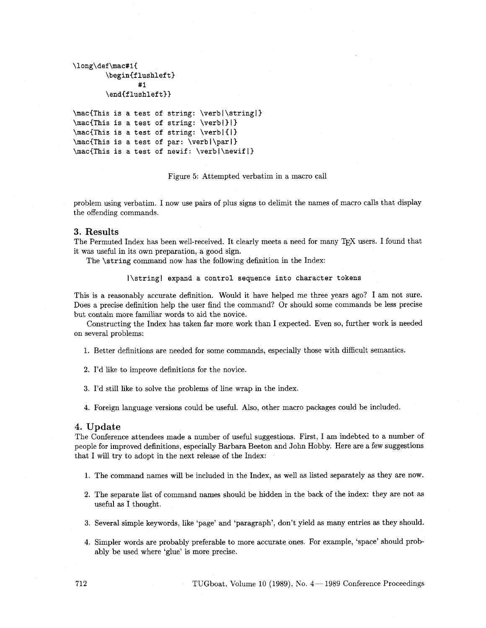```
\long\def\mac#lC 
        \begin{flushleft}
                 #I 
        \endiflushleft33 
\macCThis is a test of string: \verbl\stringl)
```

```
\mac{This is a test of string: \verbi}}}
\mac{This is a test of string: \verb|{|}
\mac(This is a test of par: \verbl\parl) 
\mac(This is a test of newif: \verbl\newifl)
```
Figure 5: Attempted verbatim in a macro call

problem using verbatim. I now use pairs of plus signs to delimit the names of macro calls that display the offending commands.

# 3. Results

The Permuted Index has been well-received. It clearly meets a need for many TFX users. I found that it was useful in its own preparation, a good sign.

The **\string** command now has the following definition in the Index:

**I\stringl expand a control sequence into character tokens** 

This is a reasonably accurate definition. Would it have helped me three years ago? I am not sure. Does a precise definition help the user find the command? Or should some commands be less precise but contain more familiar words to aid the novice.

Constructing the Index has taken far more work than I expected. Even so, further work is needed on several problems:

1. Better definitions are needed for some commands, especially those with difficult semantics.

- 2. I'd like to improve definitions for the novice.
- **3.** I'd still like to solve the problems of line wrap in the index.
- 4. Foreign language versions could be useful. Also, other macro packages could be included.

## 4. Update

The Conference attendees made a number of useful suggestions. First, I am indebted to a number of people for improved definitions, especially Barbara Beeton and John Hobby. Here are a few suggestions that I will try to adopt in the next release of the Index:

- 1. The command names will be included in the Index, as well as listed separately as they are now.
- 2. The separate list of command names should be hidden in the back of the index: they are not as useful as I thought.
- **3.** Several simple keywords, like 'page' and 'paragraph', don't yield as many entries as they should.
- 4. Simpler words are probably preferable to more accurate ones. For example, 'space' should probably be used where 'glue' is more precise.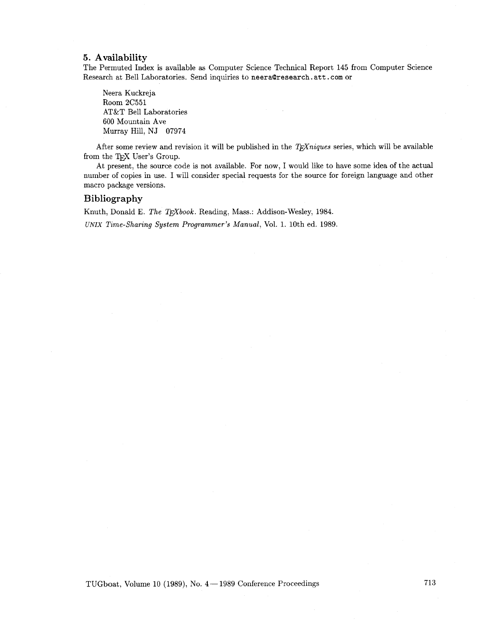# **5. Availability**

The Permuted Index is available as Computer Science Technical Report 145 from Computer Science Research at Bell Laboratories. Send inquiries to neera@research.att.com or

Neera Kuckreja Room 2C551 AT&T Bell Laboratories 600 Mountain Ave Murray Hill, NJ 07974

After some review and revision it will be published in the  $T<sub>F</sub>X<sub>n</sub>iques$  series, which will be available from the TEX User's Group.

At present, the source code is not available. For now, I would like to have some idea of the actual number of copies in use. I will consider special requests for the source for foreign language and other macro package versions.

# **Bibliography**

Knuth, Donald E. The TEXbook. Reading, Mass.: Addison-Wesley, 1984. UNIX Time-Sharing System Programmer's Manual, Vol. 1. 10th ed. 1989.